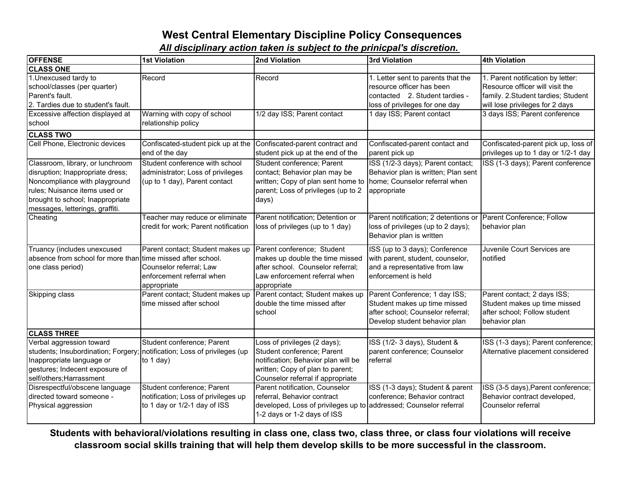## **West Central Elementary Discipline Policy Consequences**

*All disciplinary action taken is subject to the prinicpal's discretion.*

| <b>OFFENSE</b>                                                                                                                                                                                                | <b>1st Violation</b>                                                                                    | 2nd Violation                                                                                                                                                                     | 3rd Violation                                                                                                                       | <b>4th Violation</b>                                                                                                                          |
|---------------------------------------------------------------------------------------------------------------------------------------------------------------------------------------------------------------|---------------------------------------------------------------------------------------------------------|-----------------------------------------------------------------------------------------------------------------------------------------------------------------------------------|-------------------------------------------------------------------------------------------------------------------------------------|-----------------------------------------------------------------------------------------------------------------------------------------------|
| <b>CLASS ONE</b>                                                                                                                                                                                              |                                                                                                         |                                                                                                                                                                                   |                                                                                                                                     |                                                                                                                                               |
| 1. Unexcused tardy to<br>school/classes (per quarter)<br>Parent's fault.<br>2. Tardies due to student's fault.                                                                                                | Record                                                                                                  | Record                                                                                                                                                                            | 1. Letter sent to parents that the<br>resource officer has been<br>contacted 2. Student tardies -<br>loss of privileges for one day | 1. Parent notification by letter:<br>Resource officer will visit the<br>family. 2.Student tardies; Student<br>will lose privileges for 2 days |
| Excessive affection displayed at<br>school                                                                                                                                                                    | Warning with copy of school<br>relationship policy                                                      | 1/2 day ISS; Parent contact                                                                                                                                                       | 1 day ISS; Parent contact                                                                                                           | 3 days ISS; Parent conference                                                                                                                 |
| <b>CLASS TWO</b>                                                                                                                                                                                              |                                                                                                         |                                                                                                                                                                                   |                                                                                                                                     |                                                                                                                                               |
| Cell Phone, Electronic devices                                                                                                                                                                                | Confiscated-student pick up at the<br>end of the day                                                    | Confiscated-parent contract and<br>student pick up at the end of the                                                                                                              | Confiscated-parent contact and<br>parent pick up                                                                                    | Confiscated-parent pick up, loss of<br>privileges up to 1 day or 1/2-1 day                                                                    |
| Classroom, library, or lunchroom<br>disruption; Inappropriate dress;<br>Noncompliance with playground<br>rules; Nuisance items used or<br>brought to school; Inappropriate<br>messages, letterings, graffiti. | Student conference with school<br>administrator; Loss of privileges<br>(up to 1 day), Parent contact    | Student conference; Parent<br>contact; Behavior plan may be<br>written; Copy of plan sent home to   home; Counselor referral when<br>parent; Loss of privileges (up to 2<br>days) | ISS (1/2-3 days); Parent contact;<br>Behavior plan is written; Plan sent<br>appropriate                                             | ISS (1-3 days); Parent conference                                                                                                             |
| Cheating                                                                                                                                                                                                      | Teacher may reduce or eliminate<br>credit for work; Parent notification                                 | Parent notification; Detention or<br>loss of privileges (up to 1 day)                                                                                                             | Parent notification; 2 detentions or<br>loss of privileges (up to 2 days);<br>Behavior plan is written                              | Parent Conference; Follow<br>behavior plan                                                                                                    |
| Truancy (includes unexcused<br>absence from school for more than time missed after school.<br>one class period)                                                                                               | Parent contact; Student makes up<br>Counselor referral; Law<br>enforcement referral when<br>appropriate | Parent conference; Student<br>makes up double the time missed<br>after school. Counselor referral;<br>Law enforcement referral when<br>appropriate                                | ISS (up to 3 days); Conference<br>with parent, student, counselor,<br>and a representative from law<br>enforcement is held          | Juvenile Court Services are<br>notified                                                                                                       |
| Skipping class                                                                                                                                                                                                | Parent contact; Student makes up<br>time missed after school                                            | Parent contact; Student makes up<br>double the time missed after<br>school                                                                                                        | Parent Conference; 1 day ISS;<br>Student makes up time missed<br>after school; Counselor referral;<br>Develop student behavior plan | Parent contact; 2 days ISS;<br>Student makes up time missed<br>after school; Follow student<br>behavior plan                                  |
| <b>CLASS THREE</b>                                                                                                                                                                                            |                                                                                                         |                                                                                                                                                                                   |                                                                                                                                     |                                                                                                                                               |
| Verbal aggression toward<br>students; Insubordination; Forgery;<br>Inappropriate language or<br>gestures; Indecent exposure of<br>self/others; Harrassment                                                    | Student conference; Parent<br>notification; Loss of privileges (up<br>to $1$ day)                       | Loss of privileges (2 days);<br>Student conference; Parent<br>notification; Behavior plan will be<br>written; Copy of plan to parent;<br>Counselor referral if appropriate        | ISS (1/2-3 days), Student &<br>parent conference; Counselor<br>referral                                                             | ISS (1-3 days); Parent conference;<br>Alternative placement considered                                                                        |
| Disrespectful/obscene language<br>directed toward someone -<br>Physical aggression                                                                                                                            | Student conference; Parent<br>notification; Loss of privileges up<br>to 1 day or 1/2-1 day of ISS       | Parent notification, Counselor<br>referral, Behavior contract<br>developed, Loss of privileges up to addressed; Counselor referral<br>1-2 days or 1-2 days of ISS                 | ISS (1-3 days); Student & parent<br>conference; Behavior contract                                                                   | ISS (3-5 days), Parent conference;<br>Behavior contract developed,<br>Counselor referral                                                      |

**Students with behavioral/violations resulting in class one, class two, class three, or class four violations will receive classroom social skills training that will help them develop skills to be more successful in the classroom.**